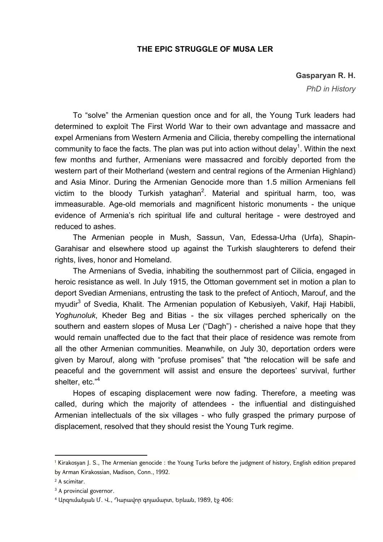## **THE EPIC STRUGGLE OF MUSA LER**

## **Gasparyan R. H.**

*PhD in History*

To "solve" the Armenian question once and for all, the Young Turk leaders had determined to exploit The First World War to their own advantage and massacre and expel Armenians from Western Armenia and Cilicia, thereby compelling the international community to face the facts. The plan was put into action without delay<sup>1</sup>. Within the next few months and further, Armenians were massacred and forcibly deported from the western part of their Motherland (western and central regions of the Armenian Highland) and Asia Minor. During the Armenian Genocide more than 1.5 million Armenians fell victim to the bloody Turkish yataghan<sup>2</sup>. Material and spiritual harm, too, was immeasurable. Age-old memorials and magnificent historic monuments - the unique evidence of Armenia's rich spiritual life and cultural heritage - were destroyed and reduced to ashes.

The Armenian people in Mush, Sassun, Van, Edessa-Urha (Urfa), Shapin-Garahisar and elsewhere stood up against the Turkish slaughterers to defend their rights, lives, honor and Homeland.

The Armenians of Svedia, inhabiting the southernmost part of Cilicia, engaged in heroic resistance as well. In July 1915, the Ottoman government set in motion a plan to deport Svedian Armenians, entrusting the task to the prefect of Antioch, Marouf, and the myudir<sup>3</sup> of Svedia, Khalit. The Armenian population of Kebusiyeh, Vakif, Haji Habibli, *Yoghunoluk*, Kheder Beg and Bitias - the six villages perched spherically on the southern and eastern slopes of Musa Ler ("Dagh") - cherished a naive hope that they would remain unaffected due to the fact that their place of residence was remote from all the other Armenian communities. Meanwhile, on July 30, deportation orders were given by Marouf, along with "profuse promises" that "the relocation will be safe and peaceful and the government will assist and ensure the deportees' survival, further shelter, etc."<sup>4</sup>

Hopes of escaping displacement were now fading. Therefore, a meeting was called, during which the majority of attendees - the influential and distinguished Armenian intellectuals of the six villages - who fully grasped the primary purpose of displacement, resolved that they should resist the Young Turk regime.

**.** 

<sup>1</sup> Kirakosyan J. S., The Armenian genocide : the Young Turks before the judgment of history, English edition prepared by Arman Kirakossian, Madison, Conn., 1992.

<sup>2</sup> A scimitar.

<sup>&</sup>lt;sup>3</sup> A provincial governor.

<sup>4</sup> Արզումանյան Մ. Վ., Դարավոր գոյամարտ, Երևան, 1989, էջ 406: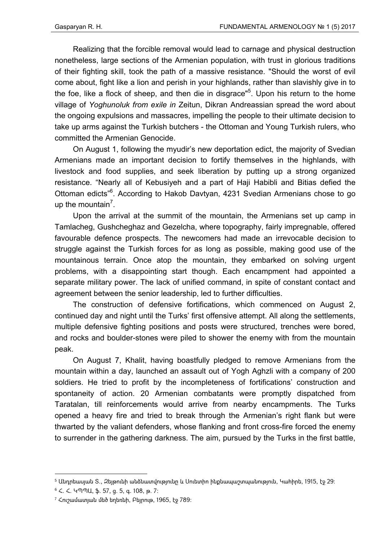Realizing that the forcible removal would lead to carnage and physical destruction nonetheless, large sections of the Armenian population, with trust in glorious traditions of their fighting skill, took the path of a massive resistance. "Should the worst of evil come about, fight like a lion and perish in your highlands, rather than slavishly give in to the foe, like a flock of sheep, and then die in disgrace"<sup>5</sup>. Upon his return to the home village of *Yoghunoluk from exile in* Zeitun, Dikran Andreassian spread the word about the ongoing expulsions and massacres, impelling the people to their ultimate decision to take up arms against the Turkish butchers - the Ottoman and Young Turkish rulers, who committed the Armenian Genocide.

On August 1, following the myudir's new deportation edict, the majority of Svedian Armenians made an important decision to fortify themselves in the highlands, with livestock and food supplies, and seek liberation by putting up a strong organized resistance. "Nearly all of Kebusiyeh and a part of Haji Habibli and Bitias defied the Ottoman edicts"<sup>6</sup>. According to Hakob Davtyan, 4231 Svedian Armenians chose to go up the mountain<sup>7</sup>.

Upon the arrival at the summit of the mountain, the Armenians set up camp in Tamlacheg, Gushcheghaz and Gezelcha, where topography, fairly impregnable, offered favourable defence prospects. The newcomers had made an irrevocable decision to struggle against the Turkish forces for as long as possible, making good use of the mountainous terrain. Once atop the mountain, they embarked on solving urgent problems, with a disappointing start though. Each encampment had appointed a separate military power. The lack of unified command, in spite of constant contact and agreement between the senior leadership, led to further difficulties.

The construction of defensive fortifications, which commenced on August 2, continued day and night until the Turks' first offensive attempt. All along the settlements, multiple defensive fighting positions and posts were structured, trenches were bored, and rocks and boulder-stones were piled to shower the enemy with from the mountain peak.

On August 7, Khalit, having boastfully pledged to remove Armenians from the mountain within a day, launched an assault out of Yogh Aghzli with a company of 200 soldiers. He tried to profit by the incompleteness of fortifications' construction and spontaneity of action. 20 Armenian combatants were promptly dispatched from Taratalan, till reinforcements would arrive from nearby encampments. The Turks opened a heavy fire and tried to break through the Armenian's right flank but were thwarted by the valiant defenders, whose flanking and front cross-fire forced the enemy to surrender in the gathering darkness. The aim, pursued by the Turks in the first battle,

**.** 

 $5$  Անդրեասյան Տ., Զեյթունի անձնատվությունը և Սուետիո ինքնապաշտպանություն, Կահիրե, 1915, էջ 29։

<sup>6</sup> Հ. Հ. ԿՊՊԱ, ֆ. 57, ց. 5, գ. 108, թ. 7:

<sup>7</sup> Հուշամատյան մեծ եղեռնի, Բեյրութ, 1965, էջ 789: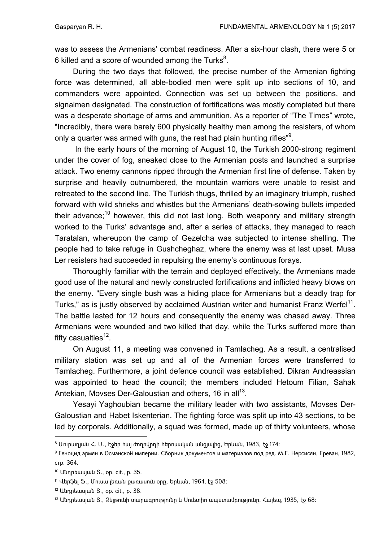was to assess the Armenians' combat readiness. After a six-hour clash, there were 5 or 6 killed and a score of wounded among the Turks $^8$ .

During the two days that followed, the precise number of the Armenian fighting force was determined, all able-bodied men were split up into sections of 10, and commanders were appointed. Connection was set up between the positions, and signalmen designated. The construction of fortifications was mostly completed but there was a desperate shortage of arms and ammunition. As a reporter of "The Times" wrote, "Incredibly, there were barely 600 physically healthy men among the resisters, of whom only a quarter was armed with guns, the rest had plain hunting rifles"<sup>9</sup>.

 In the early hours of the morning of August 10, the Turkish 2000-strong regiment under the cover of fog, sneaked close to the Armenian posts and launched a surprise attack. Two enemy cannons ripped through the Armenian first line of defense. Taken by surprise and heavily outnumbered, the mountain warriors were unable to resist and retreated to the second line. The Turkish thugs, thrilled by an imaginary triumph, rushed forward with wild shrieks and whistles but the Armenians' death-sowing bullets impeded their advance;<sup>10</sup> however, this did not last long. Both weaponry and military strength worked to the Turks' advantage and, after a series of attacks, they managed to reach Taratalan, whereupon the camp of Gezelcha was subjected to intense shelling. The people had to take refuge in Gushcheghaz, where the enemy was at last upset. Musa Ler resisters had succeeded in repulsing the enemy's continuous forays.

Thoroughly familiar with the terrain and deployed effectively, the Armenians made good use of the natural and newly constructed fortifications and inflicted heavy blows on the enemy. "Every single bush was a hiding place for Armenians but a deadly trap for Turks," as is justly observed by acclaimed Austrian writer and humanist Franz Werfel<sup>11</sup>. The battle lasted for 12 hours and consequently the enemy was chased away. Three Armenians were wounded and two killed that day, while the Turks suffered more than fifty casualties $12$ .

On August 11, a meeting was convened in Tamlacheg. As a result, a centralised military station was set up and all of the Armenian forces were transferred to Tamlacheg. Furthermore, a joint defence council was established. Dikran Andreassian was appointed to head the council; the members included Hetoum Filian, Sahak Antekian, Movses Der-Galoustian and others, 16 in all<sup>13</sup>.

Yesayi Yaghoubian became the military leader with two assistants, Movses Der-Galoustian and Habet Iskenterian. The fighting force was split up into 43 sections, to be led by corporals. Additionally, a squad was formed, made up of thirty volunteers, whose

1

 $8$  Մուրադյան Հ. Մ., Էջեր հայ ժողովրդի հերոսական անցյալից, Երևան, 1983, էջ 174։

<sup>9</sup> Геноцид армян в Османской империи. Сборник документов и материалов под ред. М.Г. Нерсисян, Ереван, 1982, стр. 364.

 $10$  Անդրեասյան S., op. cit., p. 35.

<sup>11</sup> Վերֆել Ֆ., Մուսա լեռան քառասուն օրը, Երևան, 1964, էջ 508:

<sup>12</sup> Uunnbuuuuuuu S., op. cit., p. 38.

 $13$  Անդրեասյան Տ., Զեյթունի տարագրությունը և Սուետիո ապստամբությունը, Հալեպ, 1935, էջ 68։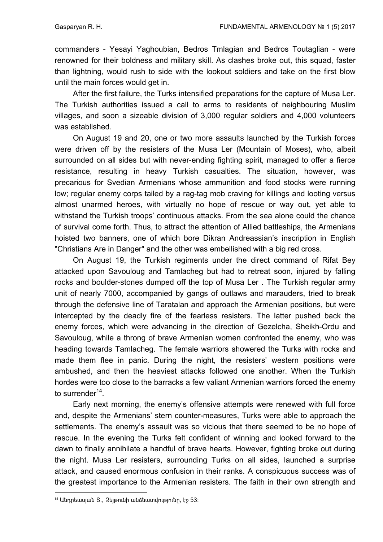commanders - Yesayi Yaghoubian, Bedros Tmlagian and Bedros Toutaglian - were renowned for their boldness and military skill. As clashes broke out, this squad, faster than lightning, would rush to side with the lookout soldiers and take on the first blow until the main forces would get in.

After the first failure, the Turks intensified preparations for the capture of Musa Ler. The Turkish authorities issued a call to arms to residents of neighbouring Muslim villages, and soon a sizeable division of 3,000 regular soldiers and 4,000 volunteers was established.

On August 19 and 20, one or two more assaults launched by the Turkish forces were driven off by the resisters of the Musa Ler (Mountain of Moses), who, albeit surrounded on all sides but with never-ending fighting spirit, managed to offer a fierce resistance, resulting in heavy Turkish casualties. The situation, however, was precarious for Svedian Armenians whose ammunition and food stocks were running low; regular enemy corps tailed by a rag-tag mob craving for killings and looting versus almost unarmed heroes, with virtually no hope of rescue or way out, yet able to withstand the Turkish troops' continuous attacks. From the sea alone could the chance of survival come forth. Thus, to attract the attention of Allied battleships, the Armenians hoisted two banners, one of which bore Dikran Andreassian's inscription in English "Christians Are in Danger" and the other was embellished with a big red cross.

On August 19, the Turkish regiments under the direct command of Rifat Bey attacked upon Savouloug and Tamlacheg but had to retreat soon, injured by falling rocks and boulder-stones dumped off the top of Musa Ler . The Turkish regular army unit of nearly 7000, accompanied by gangs of outlaws and marauders, tried to break through the defensive line of Taratalan and approach the Armenian positions, but were intercepted by the deadly fire of the fearless resisters. The latter pushed back the enemy forces, which were advancing in the direction of Gezelcha, Sheikh-Ordu and Savouloug, while a throng of brave Armenian women confronted the enemy, who was heading towards Tamlacheg. The female warriors showered the Turks with rocks and made them flee in panic. During the night, the resisters' western positions were ambushed, and then the heaviest attacks followed one another. When the Turkish hordes were too close to the barracks a few valiant Armenian warriors forced the enemy to surrender $14$ .

Early next morning, the enemy's offensive attempts were renewed with full force and, despite the Armenians' stern counter-measures, Turks were able to approach the settlements. The enemy's assault was so vicious that there seemed to be no hope of rescue. In the evening the Turks felt confident of winning and looked forward to the dawn to finally annihilate a handful of brave hearts. However, fighting broke out during the night. Musa Ler resisters, surrounding Turks on all sides, launched a surprise attack, and caused enormous confusion in their ranks. A conspicuous success was of the greatest importance to the Armenian resisters. The faith in their own strength and

1

 $14$  Անդրեասյան Տ., Զեյթունի անձնատվությունը, էջ 53: